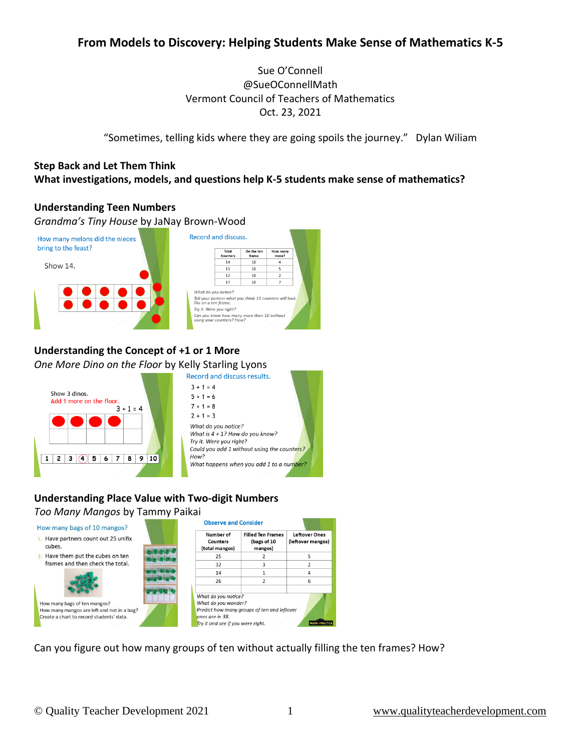# **From Models to Discovery: Helping Students Make Sense of Mathematics K-5**

Sue O'Connell @SueOConnellMath Vermont Council of Teachers of Mathematics Oct. 23, 2021

"Sometimes, telling kids where they are going spoils the journey." Dylan Wiliam

## **Step Back and Let Them Think What investigations, models, and questions help K-5 students make sense of mathematics?**

#### **Understanding Teen Numbers**

*Grandma's Tiny House* by JaNay Brown-Wood Record and discuss. How many melons did the nieces bring to the feast? Total On the ten Counter:  $\overline{14}$  $\overline{10}$  $\overline{a}$ Show 14.  $15$  $10$ 5 12 10  $\overline{17}$  $\overline{10}$ What do you notice? Tell your partner what you think 13 counters will looi<br>like on a ten frame. Try it. Were you right? Can you know how many more than 10 without<br>using your counters? How?

# **Understanding the Concept of +1 or 1 More**

*One More Dino on the Floor* by Kelly Starling Lyons





## **Understanding Place Value with Two-digit Numbers** *Too Many Mangos* by Tammy Paikai



Can you figure out how many groups of ten without actually filling the ten frames? How?

5

 $\overline{2}$ 

 $\overline{4}$ 

6

MATH PRACTICE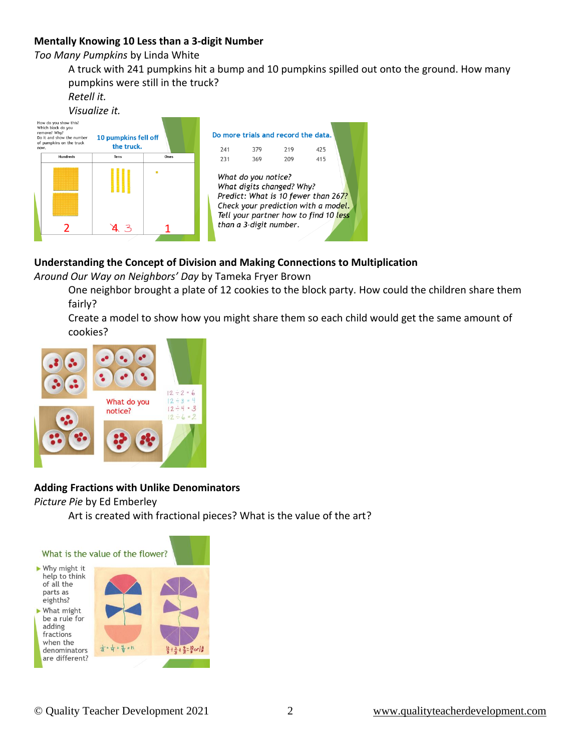## **Mentally Knowing 10 Less than a 3-digit Number**

*Too Many Pumpkins* by Linda White

A truck with 241 pumpkins hit a bump and 10 pumpkins spilled out onto the ground. How many pumpkins were still in the truck?

*Retell it.*



## **Understanding the Concept of Division and Making Connections to Multiplication**

*Around Our Way on Neighbors' Day* by Tameka Fryer Brown

One neighbor brought a plate of 12 cookies to the block party. How could the children share them fairly?

Create a model to show how you might share them so each child would get the same amount of cookies?



## **Adding Fractions with Unlike Denominators**

#### *Picture Pie* by Ed Emberley

Art is created with fractional pieces? What is the value of the art?

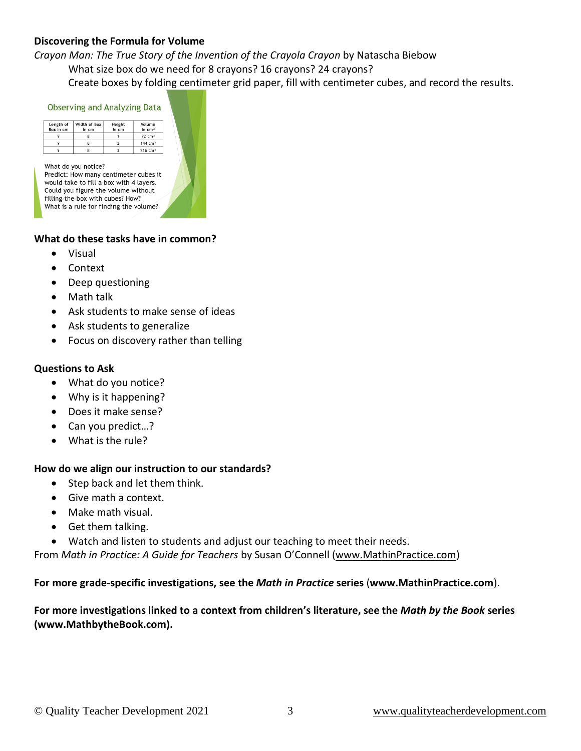## **Discovering the Formula for Volume**

*Crayon Man: The True Story of the Invention of the Crayola Crayon* by Natascha Biebow

What size box do we need for 8 crayons? 16 crayons? 24 crayons?

Create boxes by folding centimeter grid paper, fill with centimeter cubes, and record the results.

| Width of Box<br>Length of<br>Box in cm<br>in cm              | Height<br>in cm | Volume<br>In $cm3$                      |
|--------------------------------------------------------------|-----------------|-----------------------------------------|
| 9<br>8                                                       | 1               | $72$ cm <sup>3</sup>                    |
| 9<br>8                                                       | $\overline{2}$  | $144 \text{ cm}^3$                      |
| 9<br>8                                                       | 3               | $216$ cm <sup>3</sup>                   |
| What do you notice?<br>Predict: How many centimeter cubes it |                 | would take to fill a box with 4 layers. |

#### **What do these tasks have in common?**

- Visual
- Context
- Deep questioning
- Math talk
- Ask students to make sense of ideas
- Ask students to generalize
- Focus on discovery rather than telling

#### **Questions to Ask**

- What do you notice?
- Why is it happening?
- Does it make sense?
- Can you predict...?
- What is the rule?

#### **How do we align our instruction to our standards?**

- Step back and let them think.
- Give math a context.
- Make math visual.
- Get them talking.
- Watch and listen to students and adjust our teaching to meet their needs.

From *Math in Practice: A Guide for Teachers* by Susan O'Connell [\(www.MathinPractice.com\)](http://www.mathinpractice.com/)

**For more grade-specific investigations, see the** *Math in Practice* **series** (**[www.MathinPractice.com](http://www.mathinpractice.com/)**).

#### **For more investigations linked to a context from children's literature, see the** *Math by the Book* **series (www.MathbytheBook.com).**